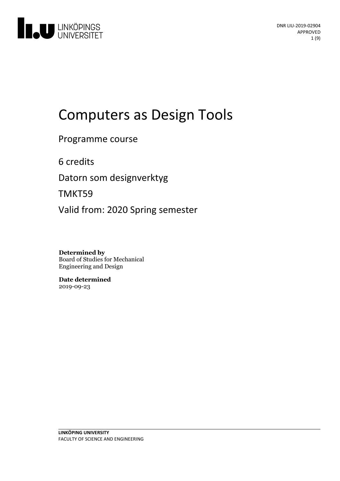

# Computers as Design Tools

Programme course

6 credits

Datorn som designverktyg

TMKT59

Valid from: 2020 Spring semester

**Determined by** Board of Studies for Mechanical Engineering and Design

**Date determined** 2019-09-23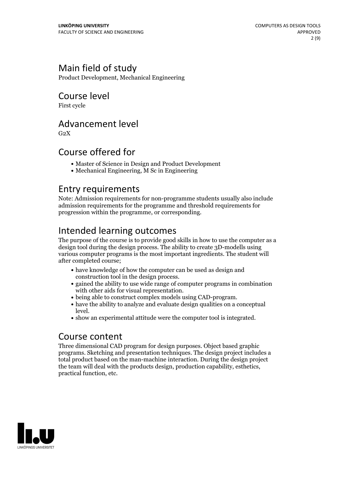## Main field of study

Product Development, Mechanical Engineering

## Course level

First cycle

### Advancement level

 $G<sub>2</sub>X$ 

### Course offered for

- Master of Science in Design and Product Development
- Mechanical Engineering, M Sc in Engineering

### Entry requirements

Note: Admission requirements for non-programme students usually also include admission requirements for the programme and threshold requirements for progression within the programme, or corresponding.

# Intended learning outcomes

The purpose of the course is to provide good skills in how to use the computer as a design tool during the design process. The ability to create 3D-modells using various computer programs is the most important ingredients. The student will after completed course;

- have knowledge of how the computer can be used as design and
- construction tool in the design process.<br>• gained the ability to use wide range of computer programs in combination<br>with other aids for visual representation.
- 
- being able to construct complex models using CAD-program.<br>• have the ability to analyze and evaluate design qualities on a conceptual level.  $\bullet$  show an experimental attitude were the computer tool is integrated.
- 

### Course content

Three dimensional CAD program for design purposes. Object based graphic programs. Sketching and presentation techniques. The design project includes a total product based on the man-machine interaction. During the design project the team will deal with the products design, production capability, esthetics, practical function, etc.

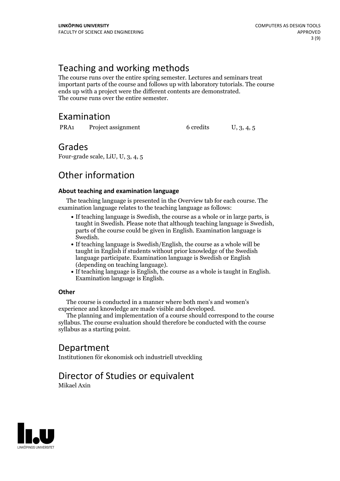# Teaching and working methods

The course runs over the entire spring semester. Lectures and seminars treat important parts of the course and follows up with laboratory tutorials. The course ends up with <sup>a</sup> project were the different contents are demonstrated. The course runs over the entire semester.

# Examination

PRA1 Project assignment 6 credits U, 3, 4, 5

### Grades

Four-grade scale, LiU, U, 3, 4, 5

# Other information

#### **About teaching and examination language**

The teaching language is presented in the Overview tab for each course. The examination language relates to the teaching language as follows:

- If teaching language is Swedish, the course as a whole or in large parts, is taught in Swedish. Please note that although teaching language is Swedish, parts of the course could be given in English. Examination language is
- Swedish.<br>• If teaching language is Swedish/English, the course as a whole will be taught in English if students without prior knowledge of the Swedish language participate. Examination language is Swedish or English
- (depending on teaching language).<br>• If teaching language is English, the course as a whole is taught in English.<br>Examination language is English.

#### **Other**

The course is conducted in a manner where both men's and women's

The planning and implementation of a course should correspond to the course syllabus. The course evaluation should therefore be conducted with the course syllabus as a starting point.

# Department

Institutionen för ekonomisk och industriell utveckling

# Director of Studies or equivalent

Mikael Axin

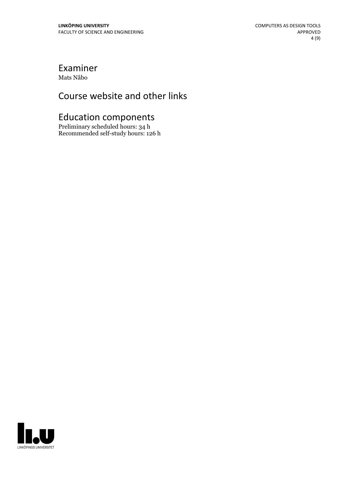### Examiner Mats Nåbo

# Course website and other links

# Education components

Preliminary scheduled hours: 34 h Recommended self-study hours: 126 h

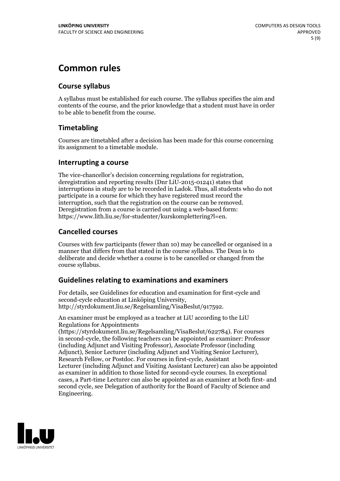# **Common rules**

### **Course syllabus**

A syllabus must be established for each course. The syllabus specifies the aim and contents of the course, and the prior knowledge that a student must have in order to be able to benefit from the course.

### **Timetabling**

Courses are timetabled after a decision has been made for this course concerning its assignment to a timetable module.

#### **Interrupting a course**

The vice-chancellor's decision concerning regulations for registration, deregistration and reporting results (Dnr LiU-2015-01241) states that interruptions in study are to be recorded in Ladok. Thus, all students who do not participate in a course for which they have registered must record the interruption, such that the registration on the course can be removed. Deregistration from <sup>a</sup> course is carried outusing <sup>a</sup> web-based form: https://www.lith.liu.se/for-studenter/kurskomplettering?l=en.

### **Cancelled courses**

Courses with few participants (fewer than 10) may be cancelled or organised in a manner that differs from that stated in the course syllabus. The Dean is to deliberate and decide whether a course is to be cancelled or changed from the course syllabus.

### **Guidelines relatingto examinations and examiners**

For details, see Guidelines for education and examination for first-cycle and second-cycle education at Linköping University, http://styrdokument.liu.se/Regelsamling/VisaBeslut/917592.

An examiner must be employed as a teacher at LiU according to the LiU Regulations for Appointments

(https://styrdokument.liu.se/Regelsamling/VisaBeslut/622784). For courses in second-cycle, the following teachers can be appointed as examiner: Professor (including Adjunct and Visiting Professor), Associate Professor (including Adjunct), Senior Lecturer (including Adjunct and Visiting Senior Lecturer), Research Fellow, or Postdoc. For courses in first-cycle, Assistant Lecturer (including Adjunct and Visiting Assistant Lecturer) can also be appointed as examiner in addition to those listed for second-cycle courses. In exceptional cases, a Part-time Lecturer can also be appointed as an examiner at both first- and second cycle, see Delegation of authority for the Board of Faculty of Science and Engineering.

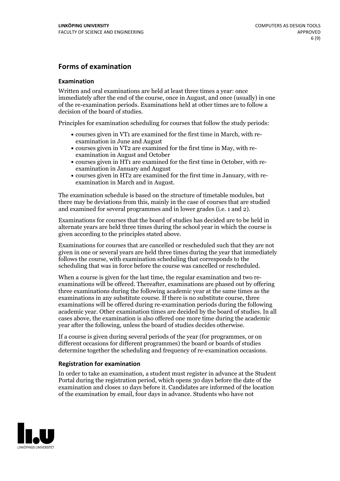#### **Forms of examination**

#### **Examination**

Written and oral examinations are held at least three times a year: once immediately after the end of the course, once in August, and once (usually) in one of the re-examination periods. Examinations held at other times are to follow a decision of the board of studies.

Principles for examination scheduling for courses that follow the study periods:

- courses given in VT1 are examined for the first time in March, with re-examination in June and August
- courses given in VT2 are examined for the first time in May, with re-examination in August and October
- courses given in HT1 are examined for the first time in October, with re-examination in January and August
- courses given in HT2 are examined for the first time in January, with re-examination in March and in August.

The examination schedule is based on the structure of timetable modules, but there may be deviations from this, mainly in the case of courses that are studied and examined for several programmes and in lower grades (i.e. 1 and 2).

Examinations for courses that the board of studies has decided are to be held in alternate years are held three times during the school year in which the course is given according to the principles stated above.

Examinations for courses that are cancelled orrescheduled such that they are not given in one or several years are held three times during the year that immediately follows the course, with examination scheduling that corresponds to the scheduling that was in force before the course was cancelled or rescheduled.

When a course is given for the last time, the regular examination and two re-<br>examinations will be offered. Thereafter, examinations are phased out by offering three examinations during the following academic year at the same times as the examinations in any substitute course. If there is no substitute course, three examinations will be offered during re-examination periods during the following academic year. Other examination times are decided by the board of studies. In all cases above, the examination is also offered one more time during the academic year after the following, unless the board of studies decides otherwise.

If a course is given during several periods of the year (for programmes, or on different occasions for different programmes) the board or boards of studies determine together the scheduling and frequency of re-examination occasions.

#### **Registration for examination**

In order to take an examination, a student must register in advance at the Student Portal during the registration period, which opens 30 days before the date of the examination and closes 10 days before it. Candidates are informed of the location of the examination by email, four days in advance. Students who have not

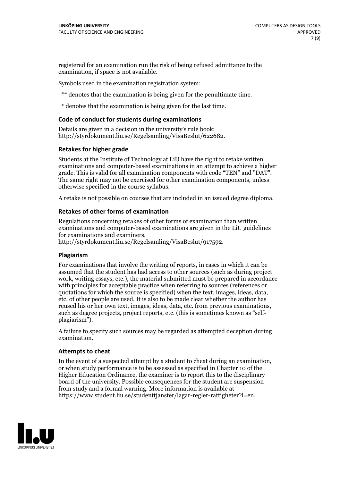registered for an examination run the risk of being refused admittance to the examination, if space is not available.

Symbols used in the examination registration system:

\*\* denotes that the examination is being given for the penultimate time.

\* denotes that the examination is being given for the last time.

#### **Code of conduct for students during examinations**

Details are given in a decision in the university's rule book: http://styrdokument.liu.se/Regelsamling/VisaBeslut/622682.

#### **Retakes for higher grade**

Students at the Institute of Technology at LiU have the right to retake written examinations and computer-based examinations in an attempt to achieve a higher grade. This is valid for all examination components with code "TEN" and "DAT". The same right may not be exercised for other examination components, unless otherwise specified in the course syllabus.

A retake is not possible on courses that are included in an issued degree diploma.

#### **Retakes of other forms of examination**

Regulations concerning retakes of other forms of examination than written examinations and computer-based examinations are given in the LiU guidelines

http://styrdokument.liu.se/Regelsamling/VisaBeslut/917592.

#### **Plagiarism**

For examinations that involve the writing of reports, in cases in which it can be assumed that the student has had access to other sources (such as during project work, writing essays, etc.), the material submitted must be prepared in accordance with principles for acceptable practice when referring to sources (references or quotations for which the source is specified) when the text, images, ideas, data,  $\vec{e}$  etc. of other people are used. It is also to be made clear whether the author has reused his or her own text, images, ideas, data, etc. from previous examinations, such as degree projects, project reports, etc. (this is sometimes known as "self- plagiarism").

A failure to specify such sources may be regarded as attempted deception during examination.

#### **Attempts to cheat**

In the event of <sup>a</sup> suspected attempt by <sup>a</sup> student to cheat during an examination, or when study performance is to be assessed as specified in Chapter <sup>10</sup> of the Higher Education Ordinance, the examiner is to report this to the disciplinary board of the university. Possible consequences for the student are suspension from study and a formal warning. More information is available at https://www.student.liu.se/studenttjanster/lagar-regler-rattigheter?l=en.

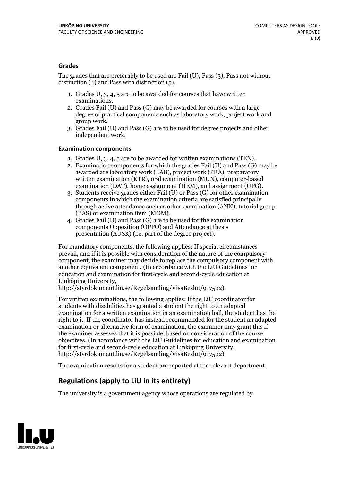#### **Grades**

The grades that are preferably to be used are Fail (U), Pass (3), Pass not without distinction  $(4)$  and Pass with distinction  $(5)$ .

- 1. Grades U, 3, 4, 5 are to be awarded for courses that have written
- examinations. 2. Grades Fail (U) and Pass (G) may be awarded for courses with <sup>a</sup> large degree of practical components such as laboratory work, project work and group work. 3. Grades Fail (U) and Pass (G) are to be used for degree projects and other
- independent work.

#### **Examination components**

- 
- 1. Grades U, 3, 4, <sup>5</sup> are to be awarded for written examinations (TEN). 2. Examination components for which the grades Fail (U) and Pass (G) may be awarded are laboratory work (LAB), project work (PRA), preparatory written examination (KTR), oral examination (MUN), computer-based
- examination (DAT), home assignment (HEM), and assignment (UPG). 3. Students receive grades either Fail (U) or Pass (G) for other examination components in which the examination criteria are satisfied principally through active attendance such as other examination (ANN), tutorial group
- (BAS) or examination item (MOM). 4. Grades Fail (U) and Pass (G) are to be used for the examination components Opposition (OPPO) and Attendance at thesis presentation (AUSK) (i.e. part of the degree project).

For mandatory components, the following applies: If special circumstances prevail, and if it is possible with consideration of the nature of the compulsory component, the examiner may decide to replace the compulsory component with another equivalent component. (In accordance with the LiU Guidelines for education and examination for first-cycle and second-cycle education at Linköping University, http://styrdokument.liu.se/Regelsamling/VisaBeslut/917592).

For written examinations, the following applies: If the LiU coordinator for students with disabilities has granted a student the right to an adapted examination for a written examination in an examination hall, the student has the right to it. If the coordinator has instead recommended for the student an adapted examination or alternative form of examination, the examiner may grant this if the examiner assesses that it is possible, based on consideration of the course objectives. (In accordance with the LiU Guidelines for education and examination for first-cycle and second-cycle education at Linköping University, http://styrdokument.liu.se/Regelsamling/VisaBeslut/917592).

The examination results for a student are reported at the relevant department.

### **Regulations (applyto LiU in its entirety)**

The university is a government agency whose operations are regulated by